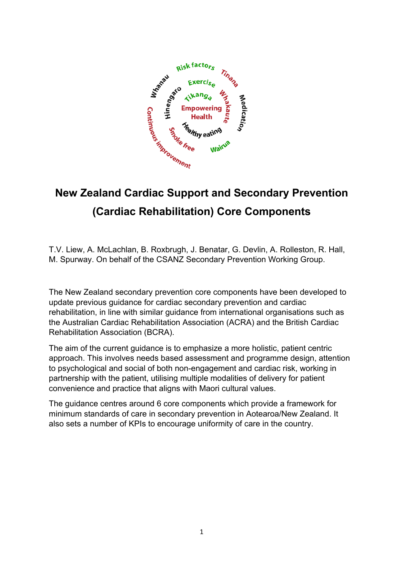

# **(Cardiac Rehabilitation) Core Components**

T.V. Liew, A. McLachlan, B. Roxbrugh, J. Benatar, G. Devlin, A. Rolleston, R. Hall, M. Spurway. On behalf of the CSANZ Secondary Prevention Working Group.

The New Zealand secondary prevention core components have been developed to update previous guidance for cardiac secondary prevention and cardiac rehabilitation, in line with similar guidance from international organisations such as the Australian Cardiac Rehabilitation Association (ACRA) and the British Cardiac Rehabilitation Association (BCRA).

The aim of the current guidance is to emphasize a more holistic, patient centric approach. This involves needs based assessment and programme design, attention to psychological and social of both non-engagement and cardiac risk, working in partnership with the patient, utilising multiple modalities of delivery for patient convenience and practice that aligns with Maori cultural values.

The guidance centres around 6 core components which provide a framework for minimum standards of care in secondary prevention in Aotearoa/New Zealand. It also sets a number of KPIs to encourage uniformity of care in the country.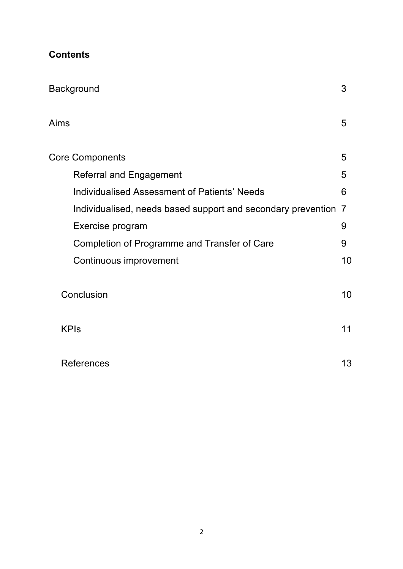| <b>Contents</b> |
|-----------------|
|-----------------|

| <b>Background</b>                                            | 3  |
|--------------------------------------------------------------|----|
| Aims                                                         | 5  |
| <b>Core Components</b>                                       | 5  |
| <b>Referral and Engagement</b>                               | 5  |
| Individualised Assessment of Patients' Needs                 | 6  |
| Individualised, needs based support and secondary prevention | 7  |
| Exercise program                                             | 9  |
| Completion of Programme and Transfer of Care                 | 9  |
| Continuous improvement                                       | 10 |
| Conclusion                                                   | 10 |
| <b>KPIs</b>                                                  | 11 |
| <b>References</b>                                            | 13 |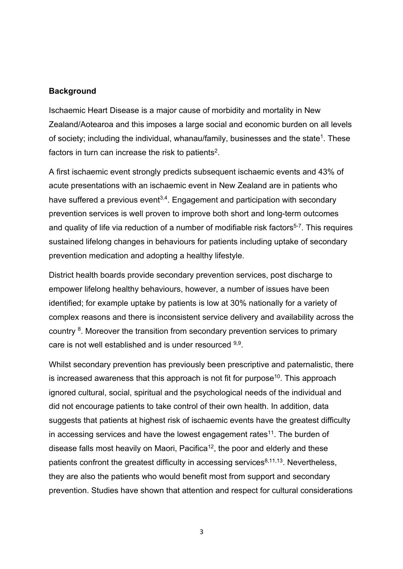#### **Background**

Ischaemic Heart Disease is a major cause of morbidity and mortality in New Zealand/Aotearoa and this imposes a large social and economic burden on all levels of society; including the individual, whanau/family, businesses and the state<sup>1</sup>. These factors in turn can increase the risk to patients<sup>2</sup>.

A first ischaemic event strongly predicts subsequent ischaemic events and 43% of acute presentations with an ischaemic event in New Zealand are in patients who have suffered a previous event<sup>3,4</sup>. Engagement and participation with secondary prevention services is well proven to improve both short and long-term outcomes and quality of life via reduction of a number of modifiable risk factors<sup>5-7</sup>. This requires sustained lifelong changes in behaviours for patients including uptake of secondary prevention medication and adopting a healthy lifestyle.

District health boards provide secondary prevention services, post discharge to empower lifelong healthy behaviours, however, a number of issues have been identified; for example uptake by patients is low at 30% nationally for a variety of complex reasons and there is inconsistent service delivery and availability across the country <sup>8</sup>. Moreover the transition from secondary prevention services to primary care is not well established and is under resourced 9,9.

Whilst secondary prevention has previously been prescriptive and paternalistic, there is increased awareness that this approach is not fit for purpose<sup>10</sup>. This approach ignored cultural, social, spiritual and the psychological needs of the individual and did not encourage patients to take control of their own health. In addition, data suggests that patients at highest risk of ischaemic events have the greatest difficulty in accessing services and have the lowest engagement rates<sup>11</sup>. The burden of disease falls most heavily on Maori, Pacifica<sup>12</sup>, the poor and elderly and these patients confront the greatest difficulty in accessing services $8,11,13$ . Nevertheless, they are also the patients who would benefit most from support and secondary prevention. Studies have shown that attention and respect for cultural considerations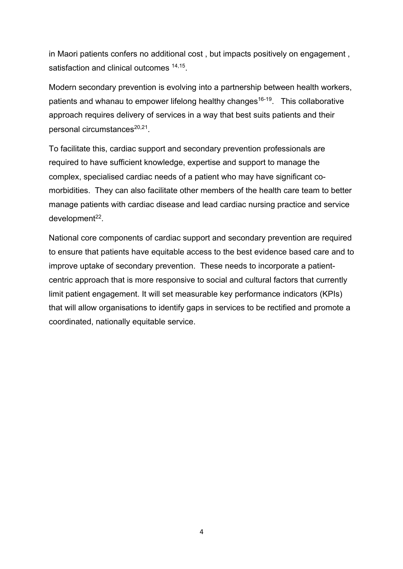in Maori patients confers no additional cost , but impacts positively on engagement , satisfaction and clinical outcomes <sup>14,15</sup>.

Modern secondary prevention is evolving into a partnership between health workers, patients and whanau to empower lifelong healthy changes<sup>16-19</sup>. This collaborative approach requires delivery of services in a way that best suits patients and their personal circumstances<sup>20,21</sup>.

To facilitate this, cardiac support and secondary prevention professionals are required to have sufficient knowledge, expertise and support to manage the complex, specialised cardiac needs of a patient who may have significant comorbidities. They can also facilitate other members of the health care team to better manage patients with cardiac disease and lead cardiac nursing practice and service  $d$ evelopment $^{22}$ .

National core components of cardiac support and secondary prevention are required to ensure that patients have equitable access to the best evidence based care and to improve uptake of secondary prevention. These needs to incorporate a patientcentric approach that is more responsive to social and cultural factors that currently limit patient engagement. It will set measurable key performance indicators (KPIs) that will allow organisations to identify gaps in services to be rectified and promote a coordinated, nationally equitable service.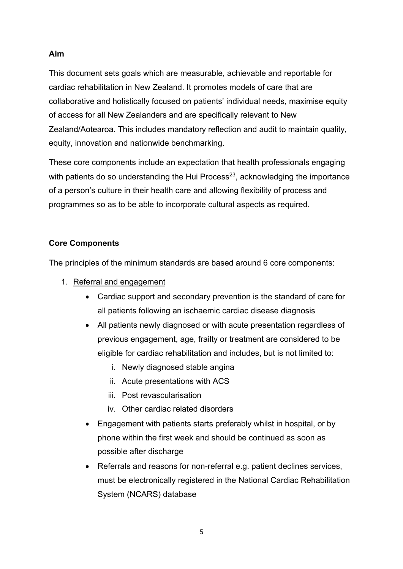#### **Aim**

This document sets goals which are measurable, achievable and reportable for cardiac rehabilitation in New Zealand. It promotes models of care that are collaborative and holistically focused on patients' individual needs, maximise equity of access for all New Zealanders and are specifically relevant to New Zealand/Aotearoa. This includes mandatory reflection and audit to maintain quality, equity, innovation and nationwide benchmarking.

These core components include an expectation that health professionals engaging with patients do so understanding the Hui Process $^{23}$ , acknowledging the importance of a person's culture in their health care and allowing flexibility of process and programmes so as to be able to incorporate cultural aspects as required.

#### **Core Components**

The principles of the minimum standards are based around 6 core components:

- 1. Referral and engagement
	- Cardiac support and secondary prevention is the standard of care for all patients following an ischaemic cardiac disease diagnosis
	- All patients newly diagnosed or with acute presentation regardless of previous engagement, age, frailty or treatment are considered to be eligible for cardiac rehabilitation and includes, but is not limited to:
		- i. Newly diagnosed stable angina
		- ii. Acute presentations with ACS
		- iii. Post revascularisation
		- iv. Other cardiac related disorders
	- Engagement with patients starts preferably whilst in hospital, or by phone within the first week and should be continued as soon as possible after discharge
	- Referrals and reasons for non-referral e.g. patient declines services, must be electronically registered in the National Cardiac Rehabilitation System (NCARS) database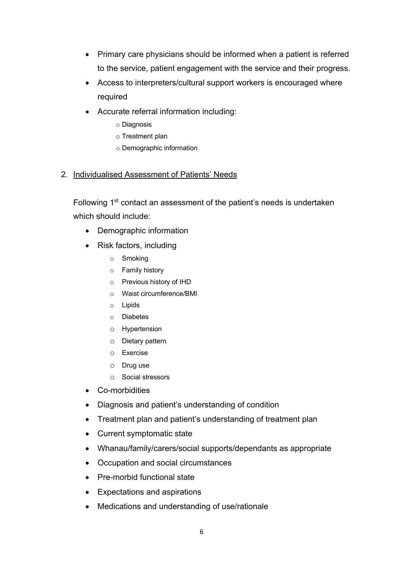- Primary care physicians should be informed when a patient is referred to the service, patient engagement with the service and their progress.
- Access to interpreters/cultural support workers is encouraged where required
- Accurate referral information including:
	- o Diagnosis
	- o Treatment plan
	- o Demographic information

#### 2. Individualised Assessment of Patients' Needs

Following 1<sup>st</sup> contact an assessment of the patient's needs is undertaken which should include:

- Demographic information
- Risk factors, including
	- o Smoking
	- o Family history
	- o Previous history of IHD
	- o Waist circumference/BMI
	- o Lipids
	- o Diabetes
	- o Hypertension
	- o Dietary pattern
	- o Exercise
	- o Drug use
	- o Social stressors
- Co-morbidities
- Diagnosis and patient's understanding of condition
- Treatment plan and patient's understanding of treatment plan
- Current symptomatic state
- Whanau/family/carers/social supports/dependants as appropriate
- Occupation and social circumstances
- Pre-morbid functional state
- Expectations and aspirations
- Medications and understanding of use/rationale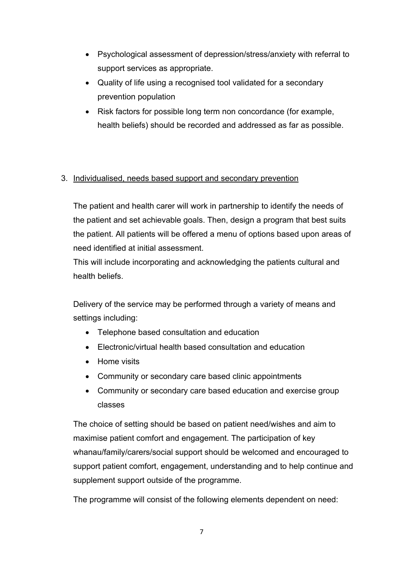- Psychological assessment of depression/stress/anxiety with referral to support services as appropriate.
- Quality of life using a recognised tool validated for a secondary prevention population
- Risk factors for possible long term non concordance (for example, health beliefs) should be recorded and addressed as far as possible.

#### 3. Individualised, needs based support and secondary prevention

The patient and health carer will work in partnership to identify the needs of the patient and set achievable goals. Then, design a program that best suits the patient. All patients will be offered a menu of options based upon areas of need identified at initial assessment.

This will include incorporating and acknowledging the patients cultural and health beliefs.

Delivery of the service may be performed through a variety of means and settings including:

- Telephone based consultation and education
- Electronic/virtual health based consultation and education
- Home visits
- Community or secondary care based clinic appointments
- Community or secondary care based education and exercise group classes

The choice of setting should be based on patient need/wishes and aim to maximise patient comfort and engagement. The participation of key whanau/family/carers/social support should be welcomed and encouraged to support patient comfort, engagement, understanding and to help continue and supplement support outside of the programme.

The programme will consist of the following elements dependent on need: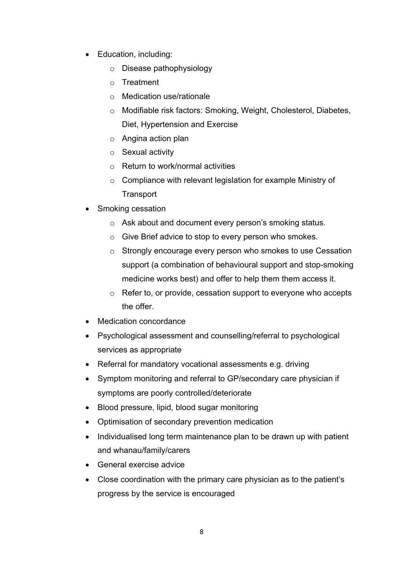- Education, including:
	- o Disease pathophysiology
	- o Treatment
	- o Medication use/rationale
	- o Modifiable risk factors: Smoking, Weight, Cholesterol, Diabetes, Diet, Hypertension and Exercise
	- o Angina action plan
	- o Sexual activity
	- o Return to work/normal activities
	- o Compliance with relevant legislation for example Ministry of **Transport**
- Smoking cessation
	- o Ask about and document every person's smoking status.
	- o Give Brief advice to stop to every person who smokes.
	- o Strongly encourage every person who smokes to use Cessation support (a combination of behavioural support and stop-smoking medicine works best) and offer to help them them access it.
	- o Refer to, or provide, cessation support to everyone who accepts the offer.
- Medication concordance
- Psychological assessment and counselling/referral to psychological services as appropriate
- Referral for mandatory vocational assessments e.g. driving
- Symptom monitoring and referral to GP/secondary care physician if symptoms are poorly controlled/deteriorate
- Blood pressure, lipid, blood sugar monitoring
- Optimisation of secondary prevention medication
- Individualised long term maintenance plan to be drawn up with patient and whanau/family/carers
- General exercise advice
- Close coordination with the primary care physician as to the patient's progress by the service is encouraged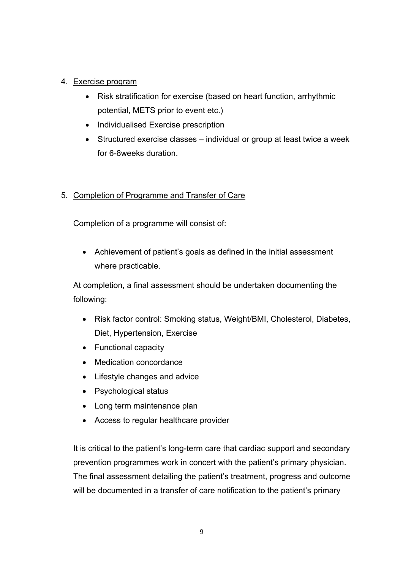#### 4. Exercise program

- Risk stratification for exercise (based on heart function, arrhythmic potential, METS prior to event etc.)
- Individualised Exercise prescription
- Structured exercise classes individual or group at least twice a week for 6-8weeks duration.

#### 5. Completion of Programme and Transfer of Care

Completion of a programme will consist of:

• Achievement of patient's goals as defined in the initial assessment where practicable.

At completion, a final assessment should be undertaken documenting the following:

- Risk factor control: Smoking status, Weight/BMI, Cholesterol, Diabetes, Diet, Hypertension, Exercise
- Functional capacity
- Medication concordance
- Lifestyle changes and advice
- Psychological status
- Long term maintenance plan
- Access to regular healthcare provider

It is critical to the patient's long-term care that cardiac support and secondary prevention programmes work in concert with the patient's primary physician. The final assessment detailing the patient's treatment, progress and outcome will be documented in a transfer of care notification to the patient's primary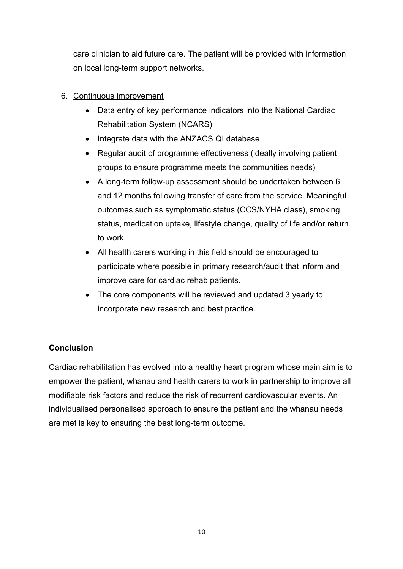care clinician to aid future care. The patient will be provided with information on local long-term support networks.

#### 6. Continuous improvement

- Data entry of key performance indicators into the National Cardiac Rehabilitation System (NCARS)
- Integrate data with the ANZACS QI database
- Regular audit of programme effectiveness (ideally involving patient groups to ensure programme meets the communities needs)
- A long-term follow-up assessment should be undertaken between 6 and 12 months following transfer of care from the service. Meaningful outcomes such as symptomatic status (CCS/NYHA class), smoking status, medication uptake, lifestyle change, quality of life and/or return to work.
- All health carers working in this field should be encouraged to participate where possible in primary research/audit that inform and improve care for cardiac rehab patients.
- The core components will be reviewed and updated 3 yearly to incorporate new research and best practice.

### **Conclusion**

Cardiac rehabilitation has evolved into a healthy heart program whose main aim is to empower the patient, whanau and health carers to work in partnership to improve all modifiable risk factors and reduce the risk of recurrent cardiovascular events. An individualised personalised approach to ensure the patient and the whanau needs are met is key to ensuring the best long-term outcome.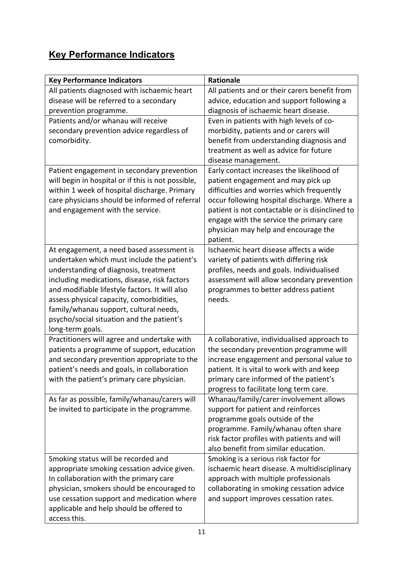## **Key Performance Indicators**

| <b>Key Performance Indicators</b>                  | <b>Rationale</b>                                                                    |
|----------------------------------------------------|-------------------------------------------------------------------------------------|
| All patients diagnosed with ischaemic heart        | All patients and or their carers benefit from                                       |
| disease will be referred to a secondary            | advice, education and support following a                                           |
| prevention programme.                              | diagnosis of ischaemic heart disease.                                               |
| Patients and/or whanau will receive                | Even in patients with high levels of co-                                            |
| secondary prevention advice regardless of          | morbidity, patients and or carers will                                              |
| comorbidity.                                       | benefit from understanding diagnosis and                                            |
|                                                    | treatment as well as advice for future                                              |
|                                                    | disease management.                                                                 |
| Patient engagement in secondary prevention         | Early contact increases the likelihood of                                           |
| will begin in hospital or if this is not possible, | patient engagement and may pick up                                                  |
| within 1 week of hospital discharge. Primary       | difficulties and worries which frequently                                           |
| care physicians should be informed of referral     | occur following hospital discharge. Where a                                         |
| and engagement with the service.                   | patient is not contactable or is disinclined to                                     |
|                                                    | engage with the service the primary care<br>physician may help and encourage the    |
|                                                    | patient.                                                                            |
| At engagement, a need based assessment is          | Ischaemic heart disease affects a wide                                              |
| undertaken which must include the patient's        | variety of patients with differing risk                                             |
| understanding of diagnosis, treatment              | profiles, needs and goals. Individualised                                           |
| including medications, disease, risk factors       | assessment will allow secondary prevention                                          |
| and modifiable lifestyle factors. It will also     | programmes to better address patient                                                |
| assess physical capacity, comorbidities,           | needs.                                                                              |
| family/whanau support, cultural needs,             |                                                                                     |
| psycho/social situation and the patient's          |                                                                                     |
| long-term goals.                                   |                                                                                     |
| Practitioners will agree and undertake with        | A collaborative, individualised approach to                                         |
| patients a programme of support, education         | the secondary prevention programme will                                             |
| and secondary prevention appropriate to the        | increase engagement and personal value to                                           |
| patient's needs and goals, in collaboration        | patient. It is vital to work with and keep                                          |
| with the patient's primary care physician.         | primary care informed of the patient's                                              |
|                                                    | progress to facilitate long term care.                                              |
| As far as possible, family/whanau/carers will      | Whanau/family/carer involvement allows                                              |
| be invited to participate in the programme.        | support for patient and reinforces                                                  |
|                                                    | programme goals outside of the                                                      |
|                                                    | programme. Family/whanau often share                                                |
|                                                    | risk factor profiles with patients and will<br>also benefit from similar education. |
| Smoking status will be recorded and                | Smoking is a serious risk factor for                                                |
| appropriate smoking cessation advice given.        | ischaemic heart disease. A multidisciplinary                                        |
| In collaboration with the primary care             | approach with multiple professionals                                                |
| physician, smokers should be encouraged to         | collaborating in smoking cessation advice                                           |
| use cessation support and medication where         | and support improves cessation rates.                                               |
| applicable and help should be offered to           |                                                                                     |
| access this.                                       |                                                                                     |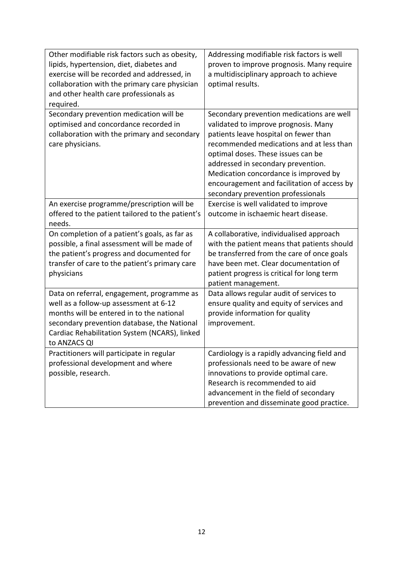| Other modifiable risk factors such as obesity,<br>lipids, hypertension, diet, diabetes and<br>exercise will be recorded and addressed, in<br>collaboration with the primary care physician<br>and other health care professionals as<br>required. | Addressing modifiable risk factors is well<br>proven to improve prognosis. Many require<br>a multidisciplinary approach to achieve<br>optimal results.                                                                                                                                                                                                                           |
|---------------------------------------------------------------------------------------------------------------------------------------------------------------------------------------------------------------------------------------------------|----------------------------------------------------------------------------------------------------------------------------------------------------------------------------------------------------------------------------------------------------------------------------------------------------------------------------------------------------------------------------------|
| Secondary prevention medication will be<br>optimised and concordance recorded in<br>collaboration with the primary and secondary<br>care physicians.                                                                                              | Secondary prevention medications are well<br>validated to improve prognosis. Many<br>patients leave hospital on fewer than<br>recommended medications and at less than<br>optimal doses. These issues can be<br>addressed in secondary prevention.<br>Medication concordance is improved by<br>encouragement and facilitation of access by<br>secondary prevention professionals |
| An exercise programme/prescription will be<br>offered to the patient tailored to the patient's<br>needs.                                                                                                                                          | Exercise is well validated to improve<br>outcome in ischaemic heart disease.                                                                                                                                                                                                                                                                                                     |
| On completion of a patient's goals, as far as<br>possible, a final assessment will be made of<br>the patient's progress and documented for<br>transfer of care to the patient's primary care<br>physicians                                        | A collaborative, individualised approach<br>with the patient means that patients should<br>be transferred from the care of once goals<br>have been met. Clear documentation of<br>patient progress is critical for long term<br>patient management.                                                                                                                              |
| Data on referral, engagement, programme as<br>well as a follow-up assessment at 6-12<br>months will be entered in to the national<br>secondary prevention database, the National<br>Cardiac Rehabilitation System (NCARS), linked<br>to ANZACS QI | Data allows regular audit of services to<br>ensure quality and equity of services and<br>provide information for quality<br>improvement.                                                                                                                                                                                                                                         |
| Practitioners will participate in regular<br>professional development and where<br>possible, research.                                                                                                                                            | Cardiology is a rapidly advancing field and<br>professionals need to be aware of new<br>innovations to provide optimal care.<br>Research is recommended to aid<br>advancement in the field of secondary<br>prevention and disseminate good practice.                                                                                                                             |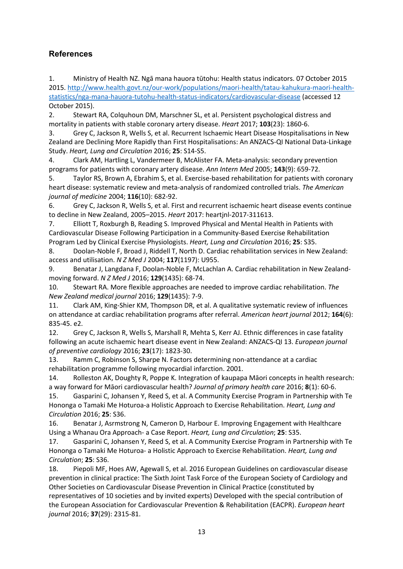#### **References**

1. Ministry of Health NZ. Ngā mana hauora tūtohu: Health status indicators. 07 October 2015 2015. http://www.health.govt.nz/our-work/populations/maori-health/tatau-kahukura-maori-healthstatistics/nga-mana-hauora-tutohu-health-status-indicators/cardiovascular-disease (accessed 12 October 2015).

2. Stewart RA, Colquhoun DM, Marschner SL, et al. Persistent psychological distress and mortality in patients with stable coronary artery disease. *Heart* 2017; **103**(23): 1860-6.

3. Grey C, Jackson R, Wells S, et al. Recurrent Ischaemic Heart Disease Hospitalisations in New Zealand are Declining More Rapidly than First Hospitalisations: An ANZACS-QI National Data-Linkage Study. *Heart, Lung and Circulation* 2016; **25**: S14-S5.

4. Clark AM, Hartling L, Vandermeer B, McAlister FA. Meta-analysis: secondary prevention programs for patients with coronary artery disease. *Ann Intern Med* 2005; **143**(9): 659-72.

5. Taylor RS, Brown A, Ebrahim S, et al. Exercise-based rehabilitation for patients with coronary heart disease: systematic review and meta-analysis of randomized controlled trials. *The American journal of medicine* 2004; **116**(10): 682-92.

6. Grey C, Jackson R, Wells S, et al. First and recurrent ischaemic heart disease events continue to decline in New Zealand, 2005–2015. *Heart* 2017: heartjnl-2017-311613.

7. Elliott T, Roxburgh B, Reading S. Improved Physical and Mental Health in Patients with Cardiovascular Disease Following Participation in a Community-Based Exercise Rehabilitation Program Led by Clinical Exercise Physiologists. *Heart, Lung and Circulation* 2016; **25**: S35.

8. Doolan-Noble F, Broad J, Riddell T, North D. Cardiac rehabilitation services in New Zealand: access and utilisation. *N Z Med J* 2004; **117**(1197): U955.

9. Benatar J, Langdana F, Doolan-Noble F, McLachlan A. Cardiac rehabilitation in New Zealandmoving forward. *N Z Med J* 2016; **129**(1435): 68-74.

10. Stewart RA. More flexible approaches are needed to improve cardiac rehabilitation. *The New Zealand medical journal* 2016; **129**(1435): 7-9.

11. Clark AM, King-Shier KM, Thompson DR, et al. A qualitative systematic review of influences on attendance at cardiac rehabilitation programs after referral. *American heart journal* 2012; **164**(6): 835-45. e2.

12. Grey C, Jackson R, Wells S, Marshall R, Mehta S, Kerr AJ. Ethnic differences in case fatality following an acute ischaemic heart disease event in New Zealand: ANZACS-QI 13. *European journal of preventive cardiology* 2016; **23**(17): 1823-30.

13. Ramm C, Robinson S, Sharpe N. Factors determining non-attendance at a cardiac rehabilitation programme following myocardial infarction. 2001.

14. Rolleston AK, Doughty R, Poppe K. Integration of kaupapa Māori concepts in health research: a way forward for Māori cardiovascular health? *Journal of primary health care* 2016; **8**(1): 60-6.

15. Gasparini C, Johansen Y, Reed S, et al. A Community Exercise Program in Partnership with Te Hononga o Tamaki Me Hoturoa-a Holistic Approach to Exercise Rehabilitation. *Heart, Lung and Circulation* 2016; **25**: S36.

16. Benatar J, Asrmstrong N, Cameron D, Harbour E. Improving Engagement with Healthcare Using a Whanau Ora Approach- a Case Report. *Heart, Lung and Circulation*; **25**: S35.

17. Gasparini C, Johansen Y, Reed S, et al. A Community Exercise Program in Partnership with Te Hononga o Tamaki Me Hoturoa- a Holistic Approach to Exercise Rehabilitation. *Heart, Lung and Circulation*; **25**: S36.

18. Piepoli MF, Hoes AW, Agewall S, et al. 2016 European Guidelines on cardiovascular disease prevention in clinical practice: The Sixth Joint Task Force of the European Society of Cardiology and Other Societies on Cardiovascular Disease Prevention in Clinical Practice (constituted by representatives of 10 societies and by invited experts) Developed with the special contribution of the European Association for Cardiovascular Prevention & Rehabilitation (EACPR). *European heart journal* 2016; **37**(29): 2315-81.